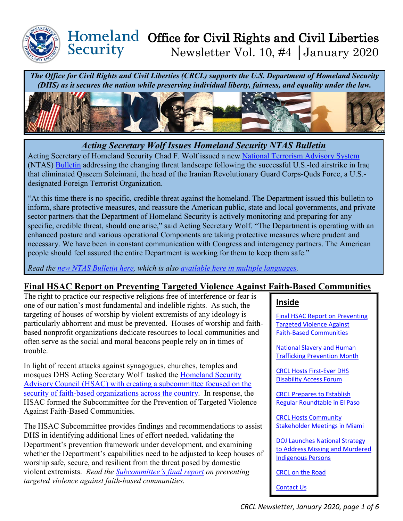

### Homeland Office for Civil Rights and Civil Liberties Security Newsletter Vol. 10, #4 │January 2020

*The Office for Civil Rights and Civil Liberties (CRCL) supports the U.S. Department of Homeland Security (DHS) as it secures the nation while preserving individual liberty, fairness, and equality under the law.*



*Acting Secretary Wolf Issues Homeland Security NTAS Bulletin*

Acting Secretary of Homeland Security Chad F. Wolf issued a new [National Terrorism Advisory System](https://www.dhs.gov/national-terrorism-advisory-system) (NTAS) [Bulletin](https://www.dhs.gov/ntas/advisory/national-terrorism-advisory-system-bulletin-january-4-2020) addressing the changing threat landscape following the successful U.S.-led airstrike in Iraq that eliminated Qaseem Soleimani, the head of the Iranian Revolutionary Guard Corps-Quds Force, a U.S. designated Foreign Terrorist Organization.

"At this time there is no specific, credible threat against the homeland. The Department issued this bulletin to inform, share protective measures, and reassure the American public, state and local governments, and private sector partners that the Department of Homeland Security is actively monitoring and preparing for any specific, credible threat, should one arise," said Acting Secretary Wolf. "The Department is operating with an enhanced posture and various operational Components are taking protective measures where prudent and necessary. We have been in constant communication with Congress and interagency partners. The American people should feel assured the entire Department is working for them to keep them safe."

*Read the [new NTAS Bulletin here,](https://www.dhs.gov/ntas/advisory/national-terrorism-advisory-system-bulletin-january-4-2020) which is also [available here in multiple languages.](https://www.dhs.gov/publication/national-terrorism-advisory-system-bulletin-january-4-2020-translations)* 

## <span id="page-0-0"></span>**Final HSAC Report on Preventing Targeted Violence Against Faith-Based Communities**

The right to practice our respective religions free of interference or fear is one of our nation's most fundamental and indelible rights. As such, the targeting of houses of worship by violent extremists of any ideology is particularly abhorrent and must be prevented. Houses of worship and faithbased nonprofit organizations dedicate resources to local communities and often serve as the social and moral beacons people rely on in times of trouble.

In light of recent attacks against synagogues, churches, temples and mosques DHS Acting Secretary Wolf tasked the [Homeland Security](https://www.dhs.gov/publication/prevention-targeted-violence-against-faith-based-communities-subcommittee-membership)  [Advisory Council \(HSAC\) with creating a subcommittee focused on the](https://www.dhs.gov/publication/prevention-targeted-violence-against-faith-based-communities-subcommittee-membership)  [security of faith-based organizations across the country.](https://www.dhs.gov/publication/prevention-targeted-violence-against-faith-based-communities-subcommittee-membership) In response, the HSAC formed the Subcommittee for the Prevention of Targeted Violence Against Faith-Based Communities.

The HSAC Subcommittee provides findings and recommendations to assist DHS in identifying additional lines of effort needed, validating the Department's prevention framework under development, and examining whether the Department's capabilities need to be adjusted to keep houses of worship safe, secure, and resilient from the threat posed by domestic violent extremists. *Read the [Subcommittee's final report](https://www.dhs.gov/sites/default/files/publications/preventing_targeted_violence_against_faith-based_communities_subcommittee_0.pdf) on preventing targeted violence against faith-based communities.* 

### **Inside**

[Final HSAC Report on Preventing](#page-0-0)  [Targeted Violence Against](#page-0-0)  [Faith-Based Communities](#page-0-0)

[National Slavery and Human](#page-1-0)  [Trafficking Prevention Month](#page-1-0) 

[CRCL Hosts First-Ever DHS](#page-2-0)  [Disability Access Forum](#page-2-0)

[CRCL Prepares to Establish](#page-3-0)  [Regular Roundtable in El](#page-3-0) Paso

[CRCL Hosts Community](#page-3-1)  [Stakeholder Meetings in Miami](#page-3-1)

[DOJ Launches National Strategy](#page-3-2)  to [Address Missing and Murdered](#page-3-2)  [Indigenous Persons](#page-3-2) 

[CRCL on the Road](#page-4-0)

[Contact Us](#page-5-0)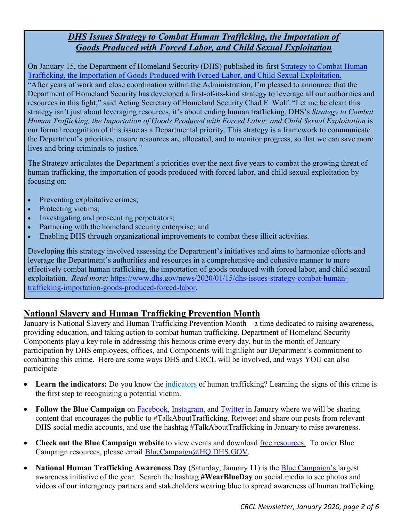## *DHS Issues Strategy to Combat Human Trafficking, the Importation of Goods Produced with Forced Labor, and Child Sexual Exploitation*

On January 15, the Department of Homeland Security (DHS) published it[s first Strategy to Combat Human](https://www.dhs.gov/publication/strategy-combat-human-trafficking-importation-goods-produced-forced-labor-and-child) [Trafficking, the Importation of Goods Produced with Forced Labor, and Child Sexual Exploitation.](https://www.dhs.gov/publication/strategy-combat-human-trafficking-importation-goods-produced-forced-labor-and-child) "After years of work and close coordination within the Administration, I'm pleased to announce that the Department of Homeland Security has developed a first-of-its-kind strategy to leverage all our authorities and resources in this fight," said Acting Secretary of Homeland Security Chad F. Wolf. "Let me be clear: this strategy isn't just about leveraging resources, it's about ending human trafficking. DHS's *Strategy to Combat Human Trafficking, the Importation of Goods Produced with Forced Labor, and Child Sexual Exploitation* is our formal recognition of this issue as a Departmental priority. This strategy is a framework to communicate the Department's priorities, ensure resources are allocated, and to monitor progress, so that we can save more lives and bring criminals to justice."

The Strategy articulates the Department's priorities over the next five years to combat the growing threat of human trafficking, the importation of goods produced with forced labor, and child sexual exploitation by focusing on:

- Preventing exploitative crimes;
- Protecting victims;
- Investigating and prosecuting perpetrators;
- Partnering with the homeland security enterprise; and
- Enabling DHS through organizational improvements to combat these illicit activities.

Developing this strategy involved assessing the Department's initiatives and aims to harmonize efforts and leverage the Department's authorities and resources in a comprehensive and cohesive manner to more effectively combat human trafficking, the importation of goods produced with forced labor, and child sexual exploitation. *Read more:* [https://www.dhs.gov/news/2020/01/15/dhs-issues-strategy-combat-human](https://www.dhs.gov/news/2020/01/15/dhs-issues-strategy-combat-human-trafficking-importation-goods-produced-forced-labor)[trafficking-importation-goods-produced-forced-labor.](https://www.dhs.gov/news/2020/01/15/dhs-issues-strategy-combat-human-trafficking-importation-goods-produced-forced-labor)

### <span id="page-1-0"></span>**National Slavery and Human Trafficking Prevention Month**

January is National Slavery and Human Trafficking Prevention Month – a time dedicated to raising awareness, providing education, and taking action to combat human trafficking. Department of Homeland Security Components play a key role in addressing this heinous crime every day, but in the month of January participation by DHS employees, offices, and Components will highlight our Department's commitment to combatting this crime. Here are some ways DHS and CRCL will be involved, and ways YOU can also participate:

- **Learn the indicators:** Do you know the [indicators](https://lnks.gd/l/eyJhbGciOiJIUzI1NiJ9.eyJidWxsZXRpbl9saW5rX2lkIjoxMDcsInVyaSI6ImJwMjpjbGljayIsImJ1bGxldGluX2lkIjoiMjAyMDAxMDguMTUxOTYzOTEiLCJ1cmwiOiJodHRwOi8vYml0Lmx5LzJONjZxeDMifQ.E-5ZF3ZC5-rXVNaE9WScU-j2NgPUAgDl2CzYwdJpENk/br/73781104407-l) of human trafficking? Learning the signs of this crime is the first step to recognizing a potential victim.
- **Follow the Blue Campaign** on [Facebook,](https://www.facebook.com/dhsbluecampaign/) [Instagram,](https://www.instagram.com/dhsbluecampaign/) and [Twitter](https://twitter.com/dhsbluecampaign) in January where we will be sharing content that encourages the public to #TalkAboutTrafficking. Retweet and share our posts from relevant DHS social media accounts, and use the hashtag #TalkAboutTrafficking in January to raise awareness.
- **Check out the Blue Campaign website** to view events and download *free resources*. To order Blue Campaign resources, please email [BlueCampaign@HQ.DHS.GOV.](mailto:BlueCampaign@HQ.DHS.GOV)
- **National Human Trafficking Awareness Day** (Saturday, January 11) is the **Blue Campaign's largest** awareness initiative of the year. Search the hashtag **#WearBlueDay** on social media to see photos and videos of our interagency partners and stakeholders wearing blue to spread awareness of human trafficking.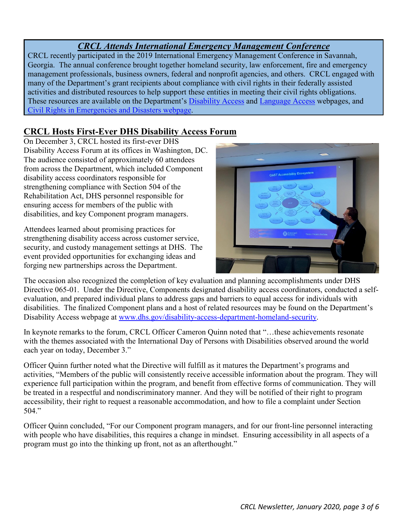## *CRCL Attends International Emergency Management Conference*

CRCL recently participated in the 2019 International Emergency Management Conference in Savannah, Georgia. The annual conference brought together homeland security, law enforcement, fire and emergency management professionals, business owners, federal and nonprofit agencies, and others. CRCL engaged with many of the Department's grant recipients about compliance with civil rights in their federally assisted activities and distributed resources to help support these entities in meeting their civil rights obligations. These resources are available on the Department's [Disability Access](https://www.dhs.gov/disability-access-department-homeland-security) and [Language Access](https://www.dhs.gov/language-access) webpages, and [Civil Rights in Emergencies and Disasters webpage.](https://www.dhs.gov/civil-rights-emergencies-and-disasters)

# <span id="page-2-0"></span>**CRCL Hosts First-Ever DHS Disability Access Forum**

On December 3, CRCL hosted its first-ever DHS Disability Access Forum at its offices in Washington, DC. The audience consisted of approximately 60 attendees from across the Department, which included Component disability access coordinators responsible for strengthening compliance with Section 504 of the Rehabilitation Act, DHS personnel responsible for ensuring access for members of the public with disabilities, and key Component program managers.

Attendees learned about promising practices for strengthening disability access across customer service, security, and custody management settings at DHS. The event provided opportunities for exchanging ideas and forging new partnerships across the Department.



The occasion also recognized the completion of key evaluation and planning accomplishments under DHS Directive 065-01. Under the Directive, Components designated disability access coordinators, conducted a selfevaluation, and prepared individual plans to address gaps and barriers to equal access for individuals with disabilities. The finalized Component plans and a host of related resources may be found on the Department's Disability Access webpage at [www.dhs.gov/disability-access-department-homeland-security.](http://www.dhs.gov/disability-access-department-homeland-security)

In keynote remarks to the forum, CRCL Officer Cameron Quinn noted that "…these achievements resonate with the themes associated with the International Day of Persons with Disabilities observed around the world each year on today, December 3."

Officer Quinn further noted what the Directive will fulfill as it matures the Department's programs and activities, "Members of the public will consistently receive accessible information about the program. They will experience full participation within the program, and benefit from effective forms of communication. They will be treated in a respectful and nondiscriminatory manner. And they will be notified of their right to program accessibility, their right to request a reasonable accommodation, and how to file a complaint under Section 504."

Officer Quinn concluded, "For our Component program managers, and for our front-line personnel interacting with people who have disabilities, this requires a change in mindset. Ensuring accessibility in all aspects of a program must go into the thinking up front, not as an afterthought."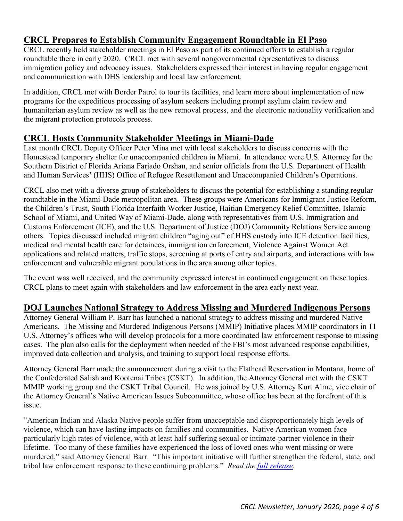## <span id="page-3-0"></span>**CRCL Prepares to Establish Community Engagement Roundtable in El Paso**

CRCL recently held stakeholder meetings in El Paso as part of its continued efforts to establish a regular roundtable there in early 2020. CRCL met with several nongovernmental representatives to discuss immigration policy and advocacy issues. Stakeholders expressed their interest in having regular engagement and communication with DHS leadership and local law enforcement.

In addition, CRCL met with Border Patrol to tour its facilities, and learn more about implementation of new programs for the expeditious processing of asylum seekers including prompt asylum claim review and humanitarian asylum review as well as the new removal process, and the electronic nationality verification and the migrant protection protocols process.

## <span id="page-3-1"></span>**CRCL Hosts Community Stakeholder Meetings in Miami-Dade**

Last month CRCL Deputy Officer Peter Mina met with local stakeholders to discuss concerns with the Homestead temporary shelter for unaccompanied children in Miami. In attendance were U.S. Attorney for the Southern District of Florida Ariana Farjado Orshan, and senior officials from the U.S. Department of Health and Human Services' (HHS) Office of Refugee Resettlement and Unaccompanied Children's Operations.

CRCL also met with a diverse group of stakeholders to discuss the potential for establishing a standing regular roundtable in the Miami-Dade metropolitan area. These groups were Americans for Immigrant Justice Reform, the Children's Trust, South Florida Interfaith Worker Justice, Haitian Emergency Relief Committee, Islamic School of Miami, and United Way of Miami-Dade, along with representatives from U.S. Immigration and Customs Enforcement (ICE), and the U.S. Department of Justice (DOJ) Community Relations Service among others. Topics discussed included migrant children "aging out" of HHS custody into ICE detention facilities, medical and mental health care for detainees, immigration enforcement, Violence Against Women Act applications and related matters, traffic stops, screening at ports of entry and airports, and interactions with law enforcement and vulnerable migrant populations in the area among other topics.

The event was well received, and the community expressed interest in continued engagement on these topics. CRCL plans to meet again with stakeholders and law enforcement in the area early next year.

### <span id="page-3-2"></span>**DOJ Launches National Strategy to Address Missing and Murdered Indigenous Persons**

Attorney General William P. Barr has launched a national strategy to address missing and murdered Native Americans. The Missing and Murdered Indigenous Persons (MMIP) Initiative places MMIP coordinators in 11 U.S. Attorney's offices who will develop protocols for a more coordinated law enforcement response to missing cases. The plan also calls for the deployment when needed of the FBI's most advanced response capabilities, improved data collection and analysis, and training to support local response efforts.

Attorney General Barr made the announcement during a visit to the Flathead Reservation in Montana, home of the Confederated Salish and Kootenai Tribes (CSKT). In addition, the Attorney General met with the CSKT MMIP working group and the CSKT Tribal Council. He was joined by U.S. Attorney Kurt Alme, vice chair of the Attorney General's Native American Issues Subcommittee, whose office has been at the forefront of this issue.

"American Indian and Alaska Native people suffer from unacceptable and disproportionately high levels of violence, which can have lasting impacts on families and communities. Native American women face particularly high rates of violence, with at least half suffering sexual or intimate-partner violence in their lifetime. Too many of these families have experienced the loss of loved ones who went missing or were murdered," said Attorney General Barr. "This important initiative will further strengthen the federal, state, and tribal law enforcement response to these continuing problems." *Read the [full release](https://www.justice.gov/opa/pr/attorney-general-william-p-barr-launches-national-strategy-address-missing-and-murdered)*.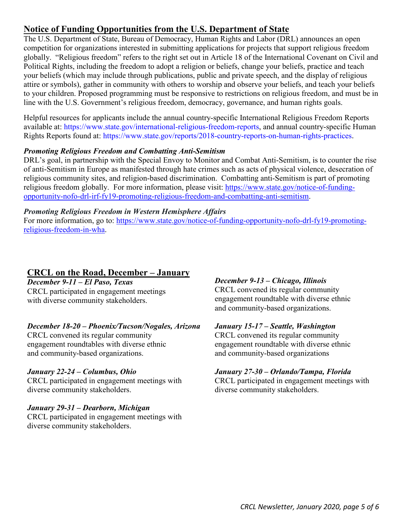# **Notice of Funding Opportunities from the U.S. Department of State**

The U.S. Department of State, Bureau of Democracy, Human Rights and Labor (DRL) announces an open competition for organizations interested in submitting applications for projects that support religious freedom globally. "Religious freedom" refers to the right set out in Article 18 of the International Covenant on Civil and Political Rights, including the freedom to adopt a religion or beliefs, change your beliefs, practice and teach your beliefs (which may include through publications, public and private speech, and the display of religious attire or symbols), gather in community with others to worship and observe your beliefs, and teach your beliefs to your children. Proposed programming must be responsive to restrictions on religious freedom, and must be in line with the U.S. Government's religious freedom, democracy, governance, and human rights goals.

Helpful resources for applicants include the annual country-specific International Religious Freedom Reports available at: [https://www.state.gov/international-religious-freedom-reports,](https://www.state.gov/international-religious-freedom-reports/) and annual country-specific Human Rights Reports found at: [https://www.state.gov/reports/2018-country-reports-on-human-rights-practices](https://www.state.gov/reports/2018-country-reports-on-human-rights-practices/).

### *Promoting Religious Freedom and Combatting Anti-Semitism*

DRL's goal, in partnership with the Special Envoy to Monitor and Combat Anti-Semitism, is to counter the rise of anti-Semitism in Europe as manifested through hate crimes such as acts of physical violence, desecration of religious community sites, and religion-based discrimination. Combatting anti-Semitism is part of promoting religious freedom globally. For more information, please visit: [https://www.state.gov/notice-of-funding](https://www.state.gov/notice-of-funding-opportunity-nofo-drl-irf-fy19-promoting-religious-freedom-and-combatting-anti-semitism)[opportunity-nofo-drl-irf-fy19-promoting-religious-freedom-and-combatting-anti-semitism.](https://www.state.gov/notice-of-funding-opportunity-nofo-drl-irf-fy19-promoting-religious-freedom-and-combatting-anti-semitism)

#### *Promoting Religious Freedom in Western Hemisphere Affairs*

For more information, go to: [https://www.state.gov/notice-of-funding-opportunity-nofo-drl-fy19-promoting](https://www.state.gov/notice-of-funding-opportunity-nofo-drl-fy19-promoting-religious-freedom-in-wha)[religious-freedom-in-wha.](https://www.state.gov/notice-of-funding-opportunity-nofo-drl-fy19-promoting-religious-freedom-in-wha)

### <span id="page-4-0"></span>**CRCL on the Road, December – January**

### *December 9-11 – El Paso, Texas*

CRCL participated in engagement meetings with diverse community stakeholders.

#### *December 18-20 – Phoenix/Tucson/Nogales, Arizona*

CRCL convened its regular community engagement roundtables with diverse ethnic and community-based organizations.

#### *January 22-24 – Columbus, Ohio*

CRCL participated in engagement meetings with diverse community stakeholders.

#### *January 29-31 – Dearborn, Michigan*

CRCL participated in engagement meetings with diverse community stakeholders.

#### *December 9-13 – Chicago, Illinois*

CRCL convened its regular community engagement roundtable with diverse ethnic and community-based organizations.

#### *January 15-17 – Seattle, Washington*

CRCL convened its regular community engagement roundtable with diverse ethnic and community-based organizations

#### *January 27-30 – Orlando/Tampa, Florida*

CRCL participated in engagement meetings with diverse community stakeholders.